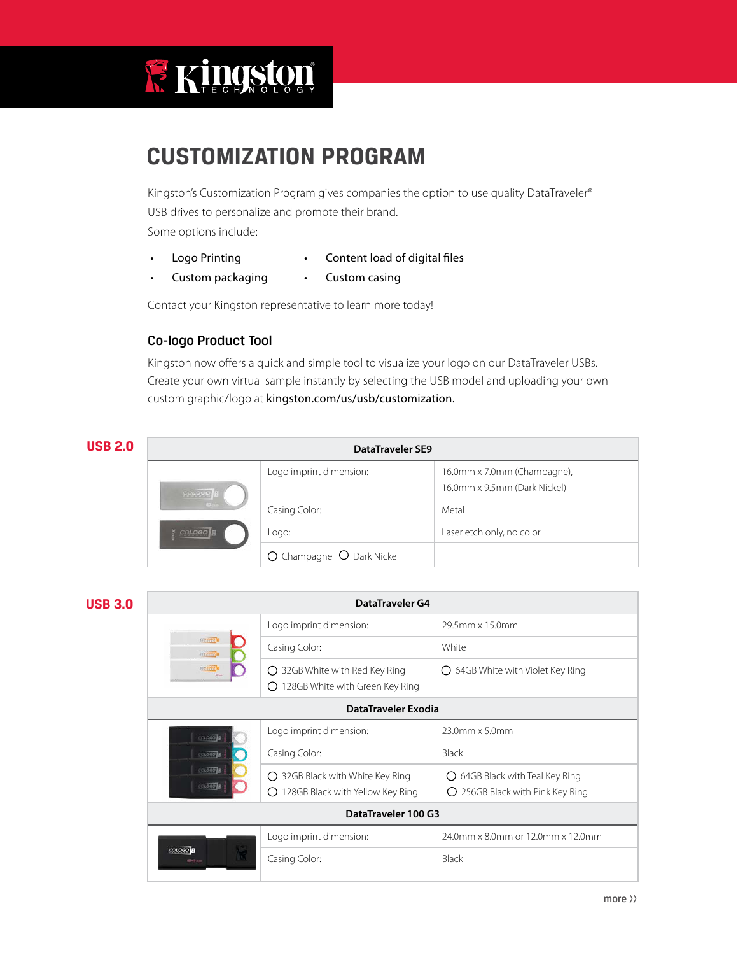

# **CUSTOMIZATION PROGRAM**

Kingston's Customization Program gives companies the option to use quality DataTraveler® USB drives to personalize and promote their brand. Some options include:

- Logo Printing **•** Content load of digital files
	-
- Custom packaging Custom casing

Contact your Kingston representative to learn more today!

# Co-logo Product Tool

Kingston now offers a quick and simple tool to visualize your logo on our DataTraveler USBs. Create your own virtual sample instantly by selecting the USB model and uploading your own custom graphic/logo at kingston.com/us/usb/customization.

| <b>USB 2.0</b> | DataTraveler SE9      |                           |                                                             |
|----------------|-----------------------|---------------------------|-------------------------------------------------------------|
|                | COLOGO <sup>1</sup> B | Logo imprint dimension:   | 16.0mm x 7.0mm (Champagne),<br>16.0mm x 9.5mm (Dark Nickel) |
|                |                       | Casing Color:             | Metal                                                       |
|                |                       | Logo:                     | Laser etch only, no color                                   |
|                |                       | O Champagne O Dark Nickel |                                                             |

| <b>USB 3.0</b> | <b>DataTraveler G4</b>                   |                                                                                |                                                                                  |  |
|----------------|------------------------------------------|--------------------------------------------------------------------------------|----------------------------------------------------------------------------------|--|
|                | <b>FRANK!</b><br><b>FRESHV</b><br>FPLAND | Logo imprint dimension:                                                        | 29.5mm x 15.0mm                                                                  |  |
|                |                                          | Casing Color:                                                                  | White                                                                            |  |
|                |                                          | 32GB White with Red Key Ring<br>( )<br>128GB White with Green Key Ring<br>( )  | 64GB White with Violet Key Ring<br>$\left( \right)$                              |  |
|                | DataTraveler Exodia                      |                                                                                |                                                                                  |  |
|                | <b>COLODO</b>                            | Logo imprint dimension:                                                        | 23.0mm x 5.0mm                                                                   |  |
|                | <b>COLOGIO</b><br>0000                   | Casing Color:                                                                  | <b>Black</b>                                                                     |  |
|                |                                          | 32GB Black with White Key Ring<br>O<br>128GB Black with Yellow Key Ring<br>〔 〕 | $\bigcirc$ 64GB Black with Teal Key Ring<br>256GB Black with Pink Key Ring<br>() |  |
|                | DataTraveler 100 G3                      |                                                                                |                                                                                  |  |
|                | <b>COLOGO</b><br>64 <sub>00</sub>        | Logo imprint dimension:                                                        | 24.0mm x 8.0mm or 12.0mm x 12.0mm                                                |  |
|                |                                          | Casing Color:                                                                  | Black                                                                            |  |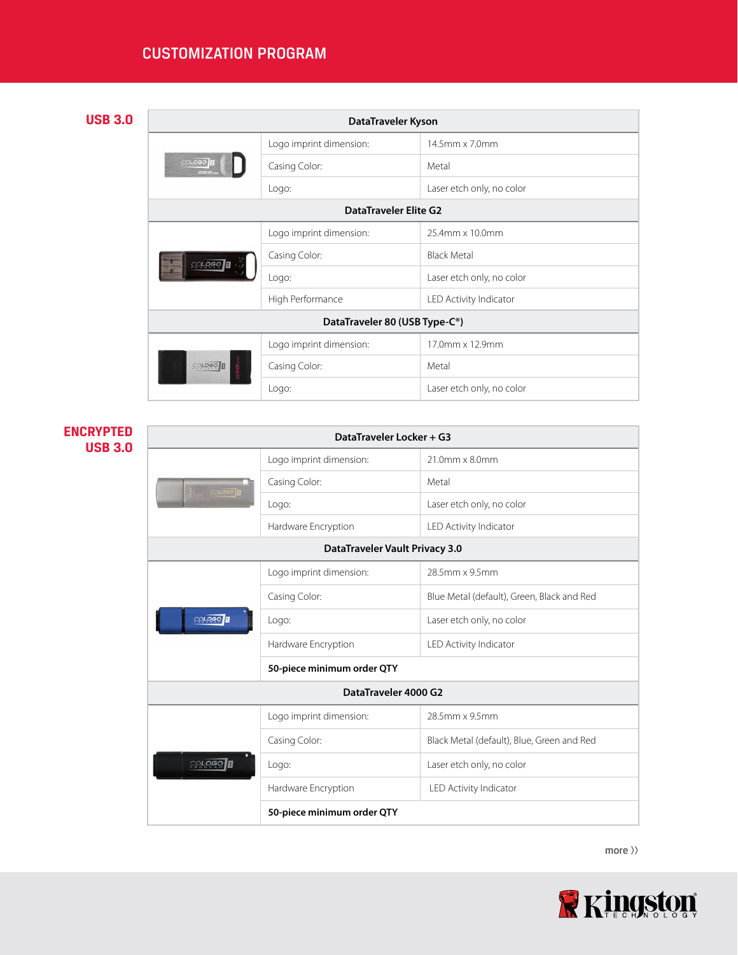# CUSTOMIZATION PROGRAM

# **USB 3.0**

| DataTraveler Kyson                         |                         |                           |
|--------------------------------------------|-------------------------|---------------------------|
| COLOGO <sup>1</sup> B<br>PAR               | Logo imprint dimension: | 14.5mm x 7.0mm            |
|                                            | Casing Color:           | Metal                     |
|                                            | Logo:                   | Laser etch only, no color |
| DataTraveler Elite G2                      |                         |                           |
|                                            | Logo imprint dimension: | 25.4mm x 10.0mm           |
| COLOGO                                     | Casing Color:           | <b>Black Metal</b>        |
|                                            | Logo:                   | Laser etch only, no color |
|                                            | High Performance        | LED Activity Indicator    |
| DataTraveler 80 (USB Type-C <sup>®</sup> ) |                         |                           |
|                                            | Logo imprint dimension: | 17.0mm x 12.9mm           |
| COLOGO <sup>B</sup>                        | Casing Color:           | Metal                     |
|                                            | Logo:                   | Laser etch only, no color |

# **ENCRYPTED USB 3.0**

| DataTraveler Locker + G3       |                            |                                            |  |
|--------------------------------|----------------------------|--------------------------------------------|--|
|                                | Logo imprint dimension:    | 21.0mm x 8.0mm                             |  |
| <b>In Screed</b>               | Casing Color:              | Metal                                      |  |
|                                | Logo:                      | Laser etch only, no color                  |  |
|                                | Hardware Encryption        | LED Activity Indicator                     |  |
| DataTraveler Vault Privacy 3.0 |                            |                                            |  |
|                                | Logo imprint dimension:    | 28.5mm x 9.5mm                             |  |
|                                | Casing Color:              | Blue Metal (default), Green, Black and Red |  |
| COLOGO <sup>H</sup>            | Logo:                      | Laser etch only, no color                  |  |
|                                | Hardware Encryption        | LED Activity Indicator                     |  |
|                                | 50-piece minimum order QTY |                                            |  |
|                                | DataTraveler 4000 G2       |                                            |  |
|                                | Logo imprint dimension:    | 28.5mm x 9.5mm                             |  |
|                                | Casing Color:              | Black Metal (default), Blue, Green and Red |  |
| COLOGO <sup>B</sup>            | Logo:                      | Laser etch only, no color                  |  |
|                                | Hardware Encryption        | LED Activity Indicator                     |  |
|                                | 50-piece minimum order QTY |                                            |  |
|                                |                            |                                            |  |

more  $\rangle$ 

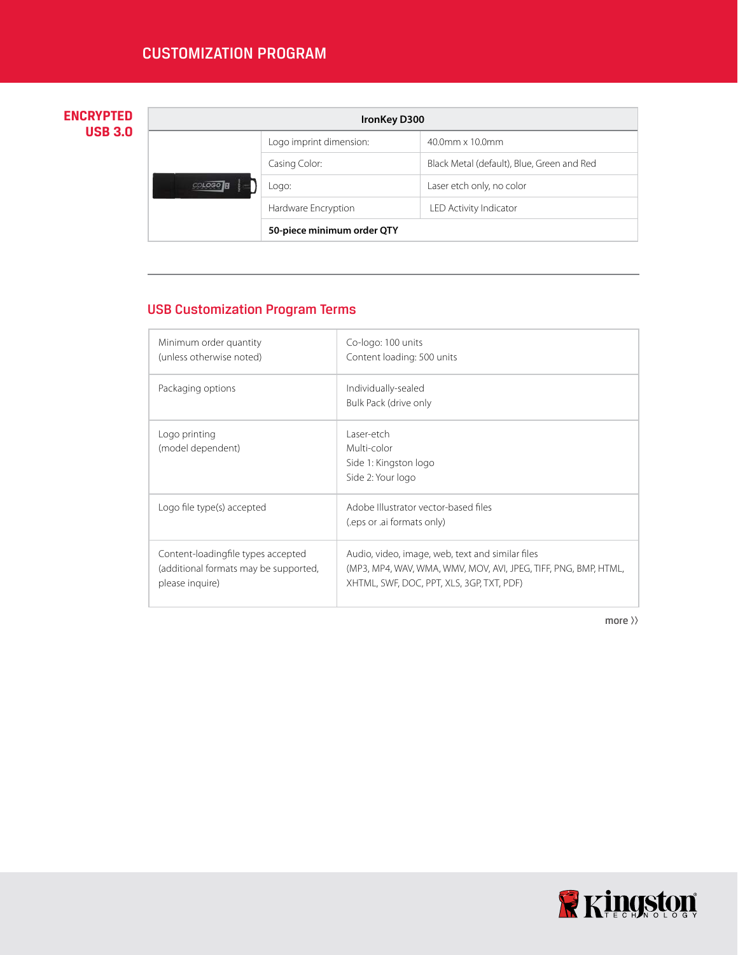# **ENCRYPTED USB 3.0**

| <b>IronKey D300</b> |                            |                                            |
|---------------------|----------------------------|--------------------------------------------|
|                     | Logo imprint dimension:    | $40.0$ mm x $10.0$ mm                      |
|                     | Casing Color:              | Black Metal (default), Blue, Green and Red |
|                     | Logo:                      | Laser etch only, no color                  |
|                     | Hardware Encryption        | LED Activity Indicator                     |
|                     | 50-piece minimum order QTY |                                            |

# USB Customization Program Terms

| Minimum order quantity<br>(unless otherwise noted)                                             | Co-logo: 100 units<br>Content loading: 500 units                                                                                                                 |
|------------------------------------------------------------------------------------------------|------------------------------------------------------------------------------------------------------------------------------------------------------------------|
| Packaging options                                                                              | Individually-sealed<br>Bulk Pack (drive only                                                                                                                     |
| Logo printing<br>(model dependent)                                                             | Laser-etch<br>Multi-color<br>Side 1: Kingston logo<br>Side 2: Your logo                                                                                          |
| Logo file type(s) accepted                                                                     | Adobe Illustrator vector-based files<br>(eps or .ai formats only)                                                                                                |
| Content-loadingfile types accepted<br>(additional formats may be supported,<br>please inquire) | Audio, video, image, web, text and similar files<br>(MP3, MP4, WAV, WMA, WMV, MOV, AVI, JPEG, TIFF, PNG, BMP, HTML,<br>XHTML, SWF, DOC, PPT, XLS, 3GP, TXT, PDF) |

more  $\rangle$